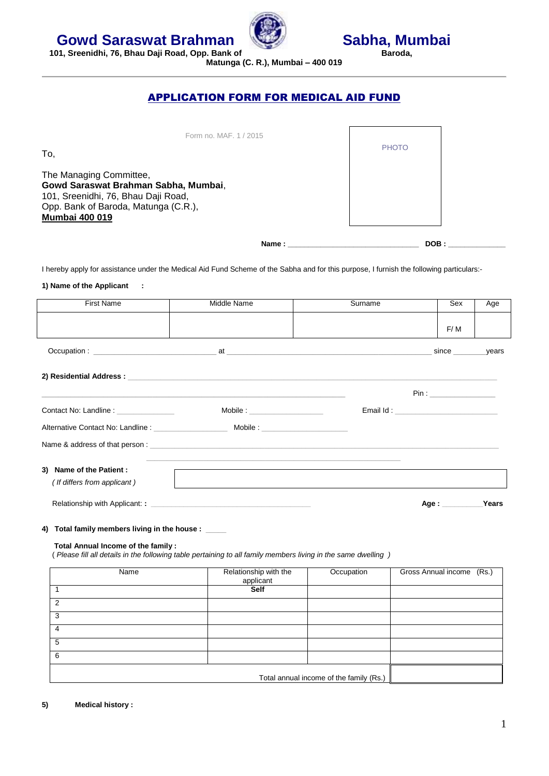



**Matunga (C. R.), Mumbai – 400 019**

## APPLICATION FORM FOR MEDICAL AID FUND

| Form no. MAF, 1 / 2015<br>To,                                                                                                                                           |              | <b>PHOTO</b> |  |
|-------------------------------------------------------------------------------------------------------------------------------------------------------------------------|--------------|--------------|--|
| The Managing Committee,<br>Gowd Saraswat Brahman Sabha, Mumbai,<br>101, Sreenidhi, 76, Bhau Daji Road,<br>Opp. Bank of Baroda, Matunga (C.R.),<br><b>Mumbai 400 019</b> |              |              |  |
|                                                                                                                                                                         | <b>Name:</b> | DOB:         |  |

I hereby apply for assistance under the Medical Aid Fund Scheme of the Sabha and for this purpose, I furnish the following particulars:-

## **1) Name of the Applicant :**

| <b>First Name</b>                                       | Middle Name                                                                                                   | Surname | Sex                                       | Age   |
|---------------------------------------------------------|---------------------------------------------------------------------------------------------------------------|---------|-------------------------------------------|-------|
|                                                         |                                                                                                               |         | F/M                                       |       |
|                                                         |                                                                                                               |         | since                                     | years |
|                                                         |                                                                                                               |         |                                           |       |
|                                                         |                                                                                                               |         |                                           |       |
| Contact No: Landline : ______________                   | Mobile : ____________________                                                                                 |         | Email Id: _______________________________ |       |
|                                                         |                                                                                                               |         |                                           |       |
|                                                         | Name & address of that person: example and a series of the series of the series of the series of that person: |         |                                           |       |
| 3) Name of the Patient :<br>(If differs from applicant) | <u> 1989 - Johann Stoff, amerikansk politiker (d. 1989)</u>                                                   |         |                                           |       |
|                                                         |                                                                                                               |         | Age:                                      | Years |
| 4) Total family members living in the house : ____      |                                                                                                               |         |                                           |       |
| Total Annual Income of the family:                      | Please fill all details in the following table pertaining to all family members living in the same dwelling ) |         |                                           |       |

| Name | Relationship with the | Occupation                              | Gross Annual income (Rs.) |
|------|-----------------------|-----------------------------------------|---------------------------|
|      | applicant             |                                         |                           |
|      | Self                  |                                         |                           |
| 2    |                       |                                         |                           |
| 3    |                       |                                         |                           |
| 4    |                       |                                         |                           |
| 5    |                       |                                         |                           |
| 6    |                       |                                         |                           |
|      |                       | Total annual income of the family (Rs.) |                           |